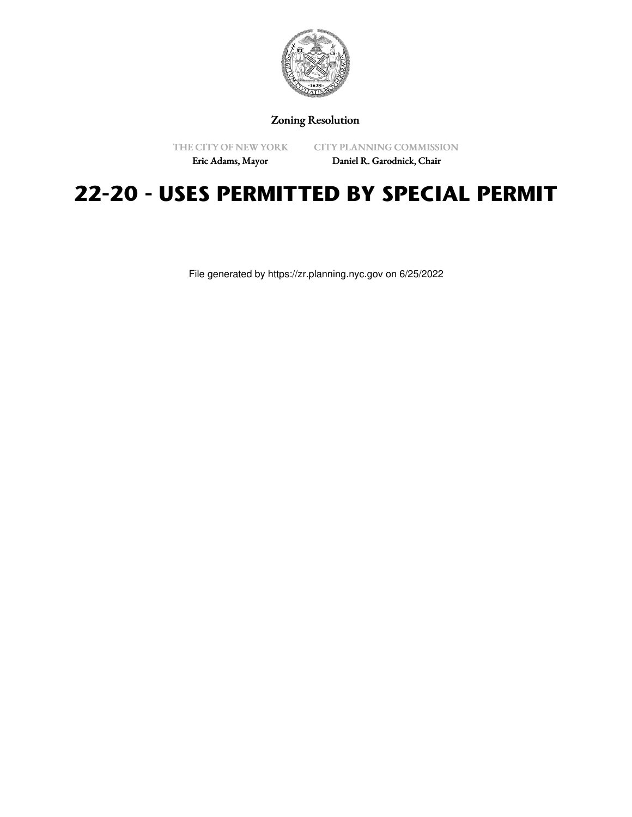

Zoning Resolution

THE CITY OF NEW YORK

CITY PLANNING COMMISSION

Eric Adams, Mayor

Daniel R. Garodnick, Chair

# **22-20 - USES PERMITTED BY SPECIAL PERMIT**

File generated by https://zr.planning.nyc.gov on 6/25/2022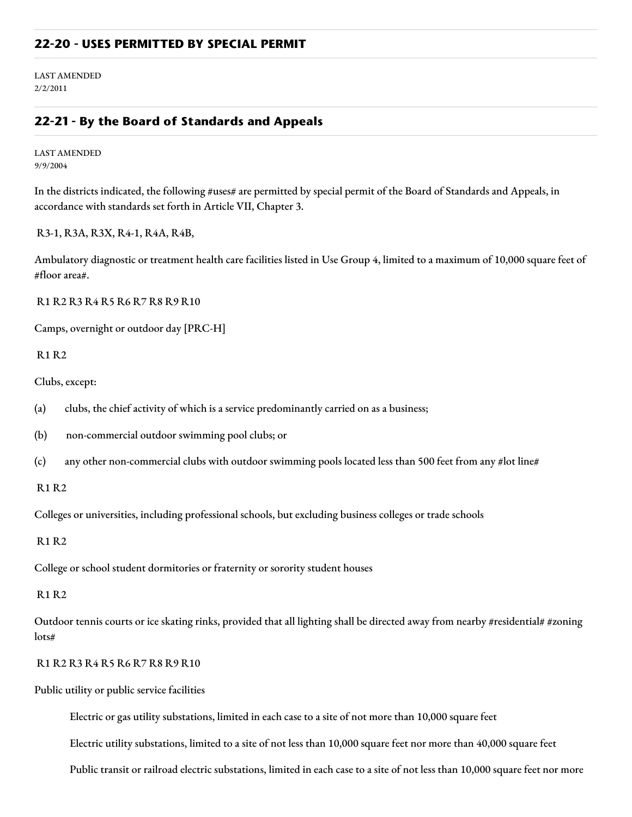## **22-20 - USES PERMITTED BY SPECIAL PERMIT**

LAST AMENDED 2/2/2011

## **22-21 - By the Board of Standards and Appeals**

LAST AMENDED 9/9/2004

In the districts indicated, the following #uses# are permitted by special permit of the Board of Standards and Appeals, in accordance with standards set forth in Article VII, Chapter 3.

R3-1, R3A, R3X, R4-1, R4A, R4B,

Ambulatory diagnostic or treatment health care facilities listed in Use Group 4, limited to a maximum of 10,000 square feet of #floor area#.

R1 R2 R3 R4 R5 R6 R7 R8 R9 R10

Camps, overnight or outdoor day [PRC-H]

R1 R2

Clubs, except:

(a) clubs, the chief activity of which is a service predominantly carried on as a business;

(b) non-commercial outdoor swimming pool clubs; or

(c) any other non-commercial clubs with outdoor swimming pools located less than 500 feet from any #lot line#

R1 R2

Colleges or universities, including professional schools, but excluding business colleges or trade schools

R1 R2

College or school student dormitories or fraternity or sorority student houses

R1 R2

Outdoor tennis courts or ice skating rinks, provided that all lighting shall be directed away from nearby #residential# #zoning lots#

R1 R2 R3 R4 R5 R6 R7 R8 R9 R10

Public utility or public service facilities

Electric or gas utility substations, limited in each case to a site of not more than 10,000 square feet

Electric utility substations, limited to a site of not less than 10,000 square feet nor more than 40,000 square feet

Public transit or railroad electric substations, limited in each case to a site of not less than 10,000 square feet nor more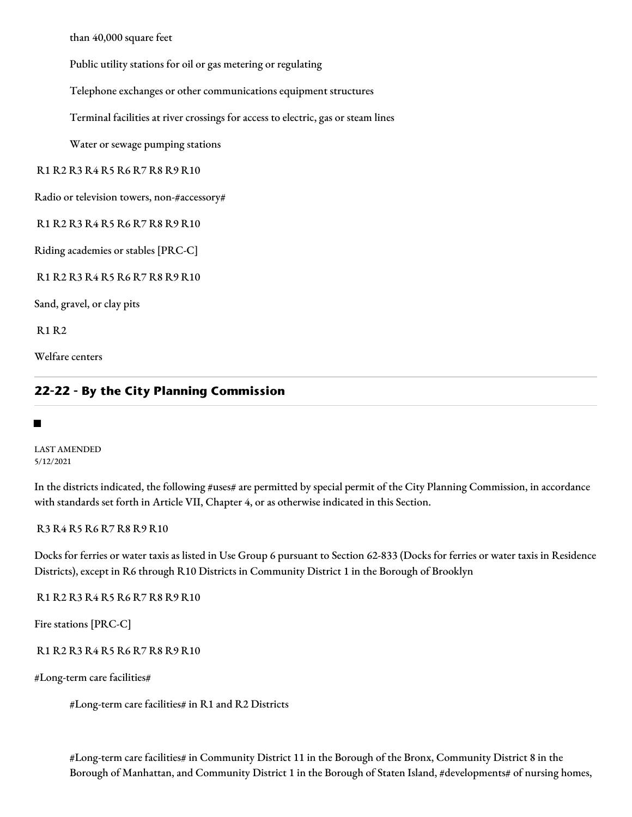than 40,000 square feet

Public utility stations for oil or gas metering or regulating

Telephone exchanges or other communications equipment structures

Terminal facilities at river crossings for access to electric, gas or steam lines

Water or sewage pumping stations

R1 R2 R3 R4 R5 R6 R7 R8 R9 R10

Radio or television towers, non-#accessory#

R1 R2 R3 R4 R5 R6 R7 R8 R9 R10

Riding academies or stables [PRC-C]

R1 R2 R3 R4 R5 R6 R7 R8 R9 R10

Sand, gravel, or clay pits

R1 R2

Welfare centers

# **22-22 - By the City Planning Commission**

#### ■

LAST AMENDED 5/12/2021

In the districts indicated, the following #uses# are permitted by special permit of the City Planning Commission, in accordance with standards set forth in Article VII, Chapter 4, or as otherwise indicated in this Section.

R3 R4 R5 R6 R7 R8 R9 R10

Docks for ferries or water taxis as listed in Use Group 6 pursuant to Section 62-833 (Docks for ferries or water taxis in Residence Districts), except in R6 through R10 Districts in Community District 1 in the Borough of Brooklyn

R1 R2 R3 R4 R5 R6 R7 R8 R9 R10

Fire stations [PRC-C]

R1 R2 R3 R4 R5 R6 R7 R8 R9 R10

#Long-term care facilities#

#Long-term care facilities# in R1 and R2 Districts

#Long-term care facilities# in Community District 11 in the Borough of the Bronx, Community District 8 in the Borough of Manhattan, and Community District 1 in the Borough of Staten Island, #developments# of nursing homes,